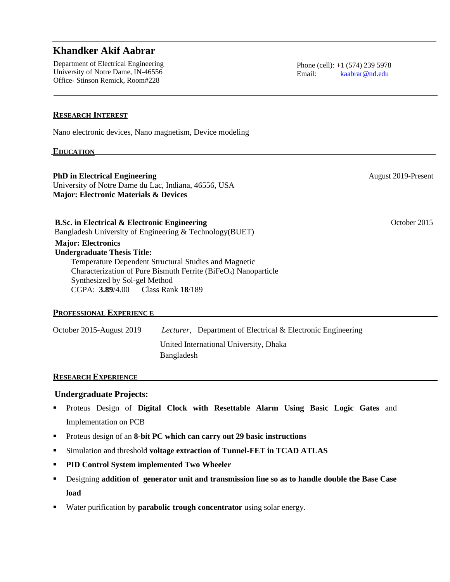# **Khandker Akif Aabrar**

Department of Electrical Engineering University of Notre Dame, IN-46556 Office- Stinson Remick, Room#228

August 2019-Present

October 2015

Ī

# **RESEARCH INTEREST**

Nano electronic devices, Nano magnetism, Device modeling

#### **EDUCATION**

**PhD in Electrical Engineering** University of Notre Dame du Lac, Indiana, 46556, USA **Major: Electronic Materials & Devices**

**B.Sc. in Electrical & Electronic Engineering** Bangladesh University of Engineering & Technology(BUET)

**Major: Electronics Undergraduate Thesis Title:** Temperature Dependent Structural Studies and Magnetic Characterization of Pure Bismuth Ferrite (BiFeO<sub>3</sub>) Nanoparticle Synthesized by Sol-gel Method CGPA: **3.89**/4.00 Class Rank **18**/189

### **PROFESSIONAL EXPERIENC E**

| October 2015-August 2019 | <i>Lecturer</i> , Department of Electrical & Electronic Engineering |
|--------------------------|---------------------------------------------------------------------|
|                          | United International University, Dhaka<br>Bangladesh                |
|                          |                                                                     |

#### **RESEARCH EXPERIENCE**

### **Undergraduate Projects:**

- Proteus Design of **Digital Clock with Resettable Alarm Using Basic Logic Gates** and Implementation on PCB
- Proteus design of an **8-bit PC which can carry out 29 basic instructions**
- Simulation and threshold **voltage extraction of Tunnel-FET in TCAD ATLAS**
- **PID Control System implemented Two Wheeler**
- Designing **addition of generator unit and transmission line so as to handle double the Base Case load**
- Water purification by **parabolic trough concentrator** using solar energy.